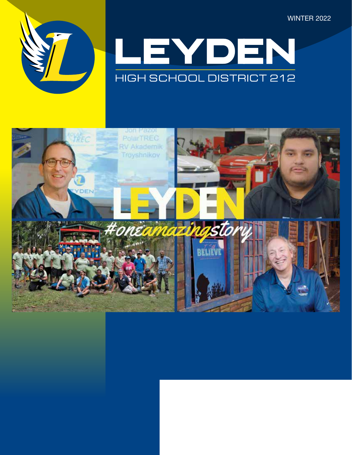WINTER 2022





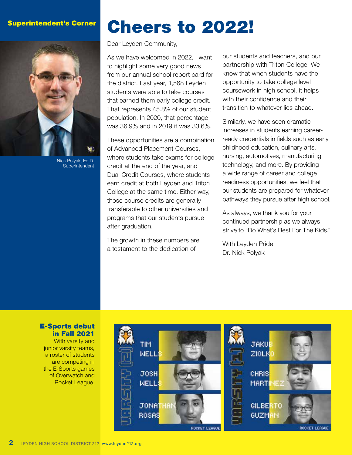### Superintendent's Corner



Nick Polyak, Ed.D. **Superintendent** 

# Cheers to 2022!

#### Dear Leyden Community,

As we have welcomed in 2022, I want to highlight some very good news from our annual school report card for the district. Last year, 1,568 Leyden students were able to take courses that earned them early college credit. That represents 45.8% of our student population. In 2020, that percentage was 36.9% and in 2019 it was 33.6%.

These opportunities are a combination of Advanced Placement Courses, where students take exams for college credit at the end of the year, and Dual Credit Courses, where students earn credit at both Leyden and Triton College at the same time. Either way, those course credits are generally transferable to other universities and programs that our students pursue after graduation.

The growth in these numbers are a testament to the dedication of

our students and teachers, and our partnership with Triton College. We know that when students have the opportunity to take college level coursework in high school, it helps with their confidence and their transition to whatever lies ahead.

Similarly, we have seen dramatic increases in students earning careerready credentials in fields such as early childhood education, culinary arts, nursing, automotives, manufacturing, technology, and more. By providing a wide range of career and college readiness opportunities, we feel that our students are prepared for whatever pathways they pursue after high school.

As always, we thank you for your continued partnership as we always strive to "Do What's Best For The Kids."

With Leyden Pride, Dr. Nick Polyak

### E-Sports debut in Fall 2021

With varsity and junior varsity teams, a roster of students are competing in the E-Sports games of Overwatch and Rocket League.

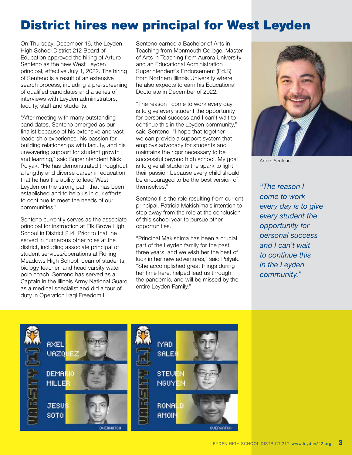# District hires new principal for West Leyden

On Thursday, December 16, the Leyden High School District 212 Board of Education approved the hiring of Arturo Senteno as the new West Leyden principal, effective July 1, 2022. The hiring of Senteno is a result of an extensive search process, including a pre-screening of qualified candidates and a series of interviews with Leyden administrators, faculty, staff and students.

"After meeting with many outstanding candidates, Senteno emerged as our finalist because of his extensive and vast leadership experience, his passion for building relationships with faculty, and his unwavering support for student growth and learning," said Superintendent Nick Polyak. "He has demonstrated throughout a lengthy and diverse career in education that he has the ability to lead West Leyden on the strong path that has been established and to help us in our efforts to continue to meet the needs of our communities."

Senteno currently serves as the associate principal for instruction at Elk Grove High School in District 214. Prior to that, he served in numerous other roles at the district, including associate principal of student services/operations at Rolling Meadows High School, dean of students, biology teacher, and head varsity water polo coach. Senteno has served as a Captain in the Illinois Army National Guard as a medical specialist and did a tour of duty in Operation Iraqi Freedom II.

Senteno earned a Bachelor of Arts in Teaching from Monmouth College, Master of Arts in Teaching from Aurora University and an Educational Administration Superintendent's Endorsement (Ed.S) from Northern Illinois University where he also expects to earn his Educational Doctorate in December of 2022.

"The reason I come to work every day is to give every student the opportunity for personal success and I can't wait to continue this in the Leyden community," said Senteno. "I hope that together we can provide a support system that employs advocacy for students and maintains the rigor necessary to be successful beyond high school. My goal is to give all students the spark to light their passion because every child should be encouraged to be the best version of themselves."

Senteno fills the role resulting from current principal, Patricia Makishima's intention to step away from the role at the conclusion of this school year to pursue other opportunities.

"Principal Makishima has been a crucial part of the Leyden family for the past three years, and we wish her the best of luck in her new adventures," said Polyak. "She accomplished great things during her time here, helped lead us through the pandemic, and will be missed by the entire Leyden Family."



Arturo Senteno

*"The reason I come to work every day is to give every student the opportunity for personal success and I can't wait to continue this in the Leyden community."*

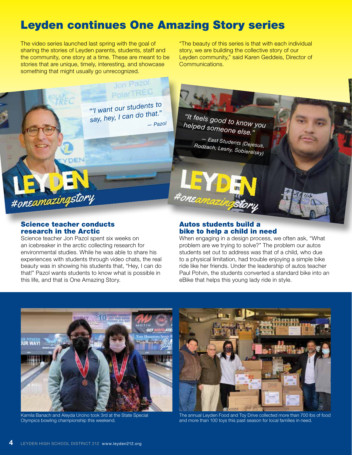# Leyden continues One Amazing Story series

The video series launched last spring with the goal of sharing the stories of Leyden parents, students, staff and the community, one story at a time. These are meant to be stories that are unique, timely, interesting, and showcase something that might usually go unrecognized.

"The beauty of this series is that with each individual story, we are building the collective story of our Leyden community," said Karen Geddeis, Director of Communications.



### Science teacher conducts research in the Arctic

Science teacher Jon Pazol spent six weeks on an icebreaker in the arctic collecting research for environmental studies. While he was able to share his experiences with students through video chats, the real beauty was in showing his students that, "Hey, I can do that!" Pazol wants students to know what is possible in this life, and that is One Amazing Story.

### Autos students build a bike to help a child in need

When engaging in a design process, we often ask, "What problem are we trying to solve?" The problem our autos students set out to address was that of a child, who due to a physical limitation, had trouble enjoying a simple bike ride like her friends. Under the leadership of autos teacher Paul Potvin, the students converted a standard bike into an eBike that helps this young lady ride in style.



Kamila Banach and Aleyda Urcino took 3rd at the State Special Olympics bowling championship this weekend.



The annual Leyden Food and Toy Drive collected more than 700 lbs of food and more than 100 toys this past season for local families in need.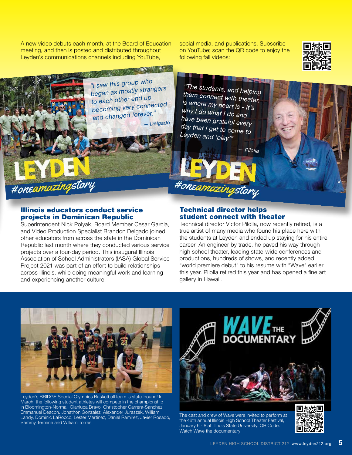A new video debuts each month, at the Board of Education meeting, and then is posted and distributed throughout Leyden's communications channels including YouTube,

social media, and publications. Subscribe on YouTube; scan the QR code to enjoy the following fall videos:



*"I saw this group who began as mostly strangers to each other end up becoming very connected and changed forever." — Delgado*

AN ANTES IN AN

*"The students, and helping them connect with theater, is where my heart is - it's why I do what I do and have been grateful every day that I get to come to Leyden and 'play'"*

#oneamazingstory

*— Pilolla*

# Illinois educators conduct service

#oneamazingstory

projects in Dominican Republic

Superintendent Nick Polyak, Board Member Cesar Garcia, and Video Production Specialist Brandon Delgado joined other educators from across the state in the Dominican Republic last month where they conducted various service projects over a four-day period. This inaugural Illinois Association of School Administrators (IASA) Global Service Project 2021 was part of an effort to build relationships across Illinois, while doing meaningful work and learning and experiencing another culture.

#### Technical director helps student connect with theater

Technical director Victor Pilolla, now recently retired, is a true artist of many media who found his place here with the students at Leyden and ended up staying for his entire career. An engineer by trade, he paved his way through high school theater, leading state-wide conferences and productions, hundreds of shows, and recently added "world premiere debut" to his resume with "Wave" earlier this year. Pilolla retired this year and has opened a fine art gallery in Hawaii.



Leyden's BRIDGE Special Olympics Basketball team is state-bound! In March, the following student athletes will compete in the championship in Bloomington-Normal: Gianluca Bravo, Christopher Carrera-Sanchez, Emmanuel Deacon, Jonathon Gonzalez, Alexander Juraszek, William Landy, Dominic LaRocco, Lester Martinez, Daniel Ramirez, Javier Rosado, Sammy Termine and William Torres.



Watch Wave the documentary